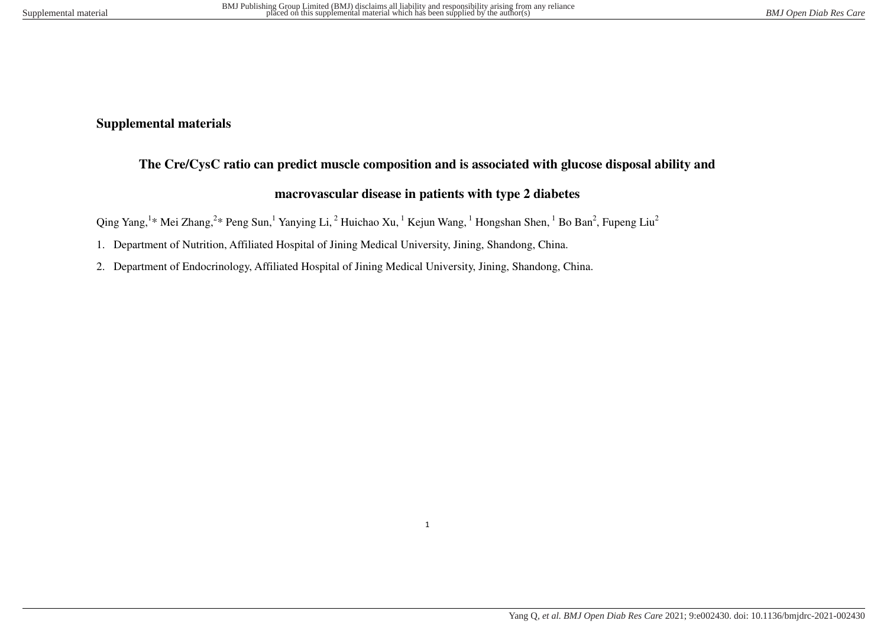## **Supplemental materials**

# **The Cre/CysC ratio can predict muscle composition and is associated with glucose disposal ability and**

### **macrovascular disease in patients with type 2 diabetes**

Qing Yang,<sup>1</sup>\* Mei Zhang,<sup>2</sup>\* Peng Sun,<sup>1</sup> Yanying Li,<sup>2</sup> Huichao Xu,<sup>1</sup> Kejun Wang,<sup>1</sup> Hongshan Shen,<sup>1</sup> Bo Ban<sup>2</sup>, Fupeng Liu<sup>2</sup>

- 1. Department of Nutrition, Affiliated Hospital of Jining Medical University, Jining, Shandong, China.
- 2. Department of Endocrinology, Affiliated Hospital of Jining Medical University, Jining, Shandong, China.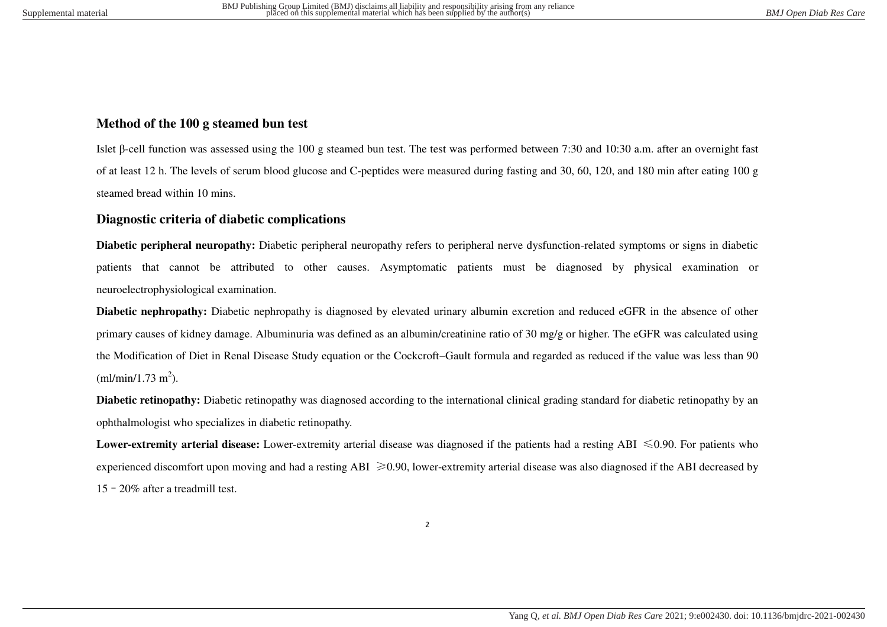#### **Method of the 100 g steamed bun test**

Islet β-cell function was assessed using the 100 g steamed bun test. The test was performed between 7:30 and 10:30 a.m. after an overnight fast of at least 12 h. The levels of serum blood glucose and C-peptides were measured during fasting and 30, 60, 120, and 180 min after eating 100 g steamed bread within 10 mins.

### **Diagnostic criteria of diabetic complications**

**Diabetic peripheral neuropathy:** Diabetic peripheral neuropathy refers to peripheral nerve dysfunction-related symptoms or signs in diabetic patients that cannot be attributed to other causes. Asymptomatic patients must be diagnosed by physical examination or neuroelectrophysiological examination.

**Diabetic nephropathy:** Diabetic nephropathy is diagnosed by elevated urinary albumin excretion and reduced eGFR in the absence of other primary causes of kidney damage. Albuminuria was defined as an albumin/creatinine ratio of 30 mg/g or higher. The eGFR was calculated using the Modification of Diet in Renal Disease Study equation or the Cockcroft–Gault formula and regarded as reduced if the value was less than 90  $(ml/min/1.73 m<sup>2</sup>).$ 

**Diabetic retinopathy:** Diabetic retinopathy was diagnosed according to the international clinical grading standard for diabetic retinopathy by an ophthalmologist who specializes in diabetic retinopathy.

**Lower-extremity arterial disease:** Lower-extremity arterial disease was diagnosed if the patients had a resting ABI ≤0.90. For patients who experienced discomfort upon moving and had a resting  $ABI \geq 0.90$ , lower-extremity arterial disease was also diagnosed if the ABI decreased by 15–20% after a treadmill test.

2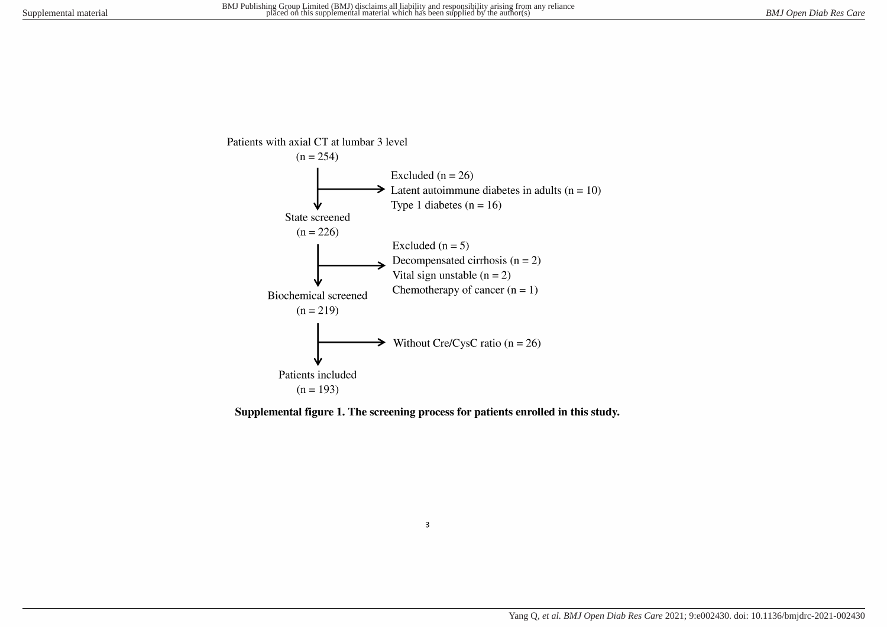

Supplemental figure 1. The screening process for patients enrolled in this study.

 $\overline{\mathbf{3}}$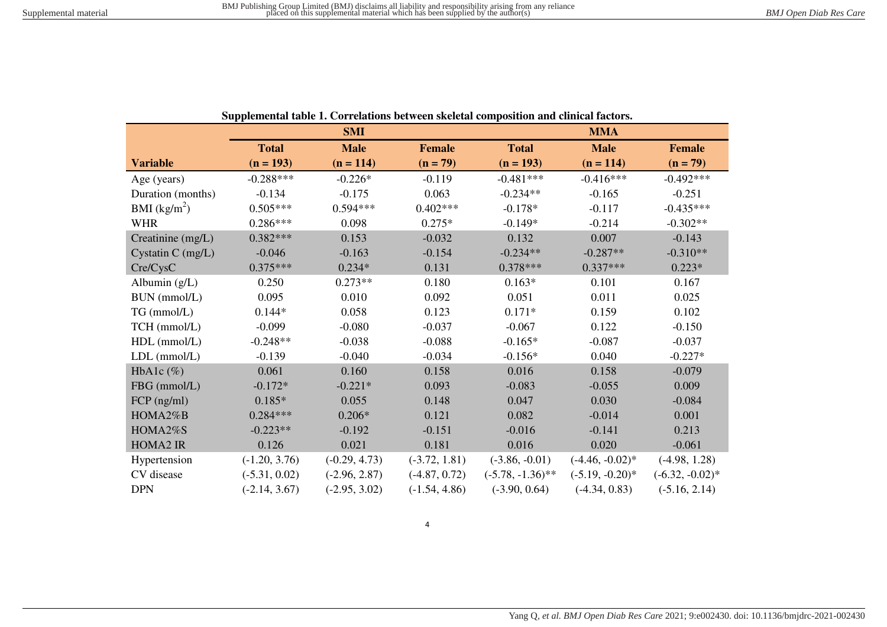| Supplemental table 1. Correlations between skeletal composition and clinical factors. |                                              |                 |                 |                     |                    |                    |  |
|---------------------------------------------------------------------------------------|----------------------------------------------|-----------------|-----------------|---------------------|--------------------|--------------------|--|
|                                                                                       | <b>SMI</b>                                   |                 |                 | <b>MMA</b>          |                    |                    |  |
|                                                                                       | <b>Total</b><br><b>Male</b><br><b>Female</b> |                 | <b>Total</b>    | <b>Male</b>         |                    |                    |  |
| <b>Variable</b>                                                                       | $(n = 193)$                                  | $(n = 114)$     | $(n = 79)$      | $(n = 193)$         | $(n = 114)$        | $(n = 79)$         |  |
| Age (years)                                                                           | $-0.288***$                                  | $-0.226*$       | $-0.119$        | $-0.481***$         | $-0.416***$        | $-0.492***$        |  |
| Duration (months)                                                                     | $-0.134$                                     | $-0.175$        | 0.063           | $-0.234**$          | $-0.165$           | $-0.251$           |  |
| BMI $(kg/m^2)$                                                                        | $0.505***$                                   | $0.594***$      | $0.402***$      | $-0.178*$           | $-0.117$           | $-0.435***$        |  |
| <b>WHR</b>                                                                            | $0.286***$                                   | 0.098           | $0.275*$        | $-0.149*$           | $-0.214$           | $-0.302**$         |  |
| Creatinine (mg/L)                                                                     | $0.382***$                                   | 0.153           | $-0.032$        | 0.132               | 0.007              | $-0.143$           |  |
| Cystatin $C$ (mg/L)                                                                   | $-0.046$                                     | $-0.163$        | $-0.154$        | $-0.234**$          | $-0.287**$         | $-0.310**$         |  |
| Cre/CysC                                                                              | $0.375***$                                   | $0.234*$        | 0.131           | $0.378***$          | $0.337***$         | $0.223*$           |  |
| Albumin $(g/L)$                                                                       | 0.250                                        | $0.273**$       | 0.180           | $0.163*$            | 0.101              | 0.167              |  |
| BUN (mmol/L)                                                                          | 0.095                                        | 0.010           | 0.092           | 0.051               | 0.011              | 0.025              |  |
| TG (mmol/L)                                                                           | $0.144*$                                     | 0.058           | 0.123           | $0.171*$            | 0.159              | 0.102              |  |
| TCH (mmol/L)                                                                          | $-0.099$                                     | $-0.080$        | $-0.037$        | $-0.067$            | 0.122              | $-0.150$           |  |
| HDL (mmol/L)                                                                          | $-0.248**$                                   | $-0.038$        | $-0.088$        | $-0.165*$           | $-0.087$           | $-0.037$           |  |
| $LDL$ (mmol/ $L$ )                                                                    | $-0.139$                                     | $-0.040$        | $-0.034$        | $-0.156*$           | 0.040              | $-0.227*$          |  |
| HbA1c $(\%)$                                                                          | 0.061                                        | 0.160           | 0.158           | 0.016               | 0.158              | $-0.079$           |  |
| FBG (mmol/L)                                                                          | $-0.172*$                                    | $-0.221*$       | 0.093           | $-0.083$            | $-0.055$           | 0.009              |  |
| $FCP$ (ng/ml)                                                                         | $0.185*$                                     | 0.055           | 0.148           | 0.047               | 0.030              | $-0.084$           |  |
| HOMA2%B                                                                               | $0.284***$                                   | $0.206*$        | 0.121           | 0.082               | $-0.014$           | 0.001              |  |
| HOMA2%S                                                                               | $-0.223**$                                   | $-0.192$        | $-0.151$        | $-0.016$            | $-0.141$           | 0.213              |  |
| <b>HOMA2 IR</b>                                                                       | 0.126                                        | 0.021           | 0.181           | 0.016               | 0.020              | $-0.061$           |  |
| Hypertension                                                                          | $(-1.20, 3.76)$                              | $(-0.29, 4.73)$ | $(-3.72, 1.81)$ | $(-3.86, -0.01)$    | $(-4.46, -0.02)^*$ | $(-4.98, 1.28)$    |  |
| CV disease                                                                            | $(-5.31, 0.02)$                              | $(-2.96, 2.87)$ | $(-4.87, 0.72)$ | $(-5.78, -1.36)$ ** | $(-5.19, -0.20)^*$ | $(-6.32, -0.02)^*$ |  |
| <b>DPN</b>                                                                            | $(-2.14, 3.67)$                              | $(-2.95, 3.02)$ | $(-1.54, 4.86)$ | $(-3.90, 0.64)$     | $(-4.34, 0.83)$    | $(-5.16, 2.14)$    |  |

| Supplemental table 1. Correlations between skeletal composition and clinical factors. |  |
|---------------------------------------------------------------------------------------|--|
|---------------------------------------------------------------------------------------|--|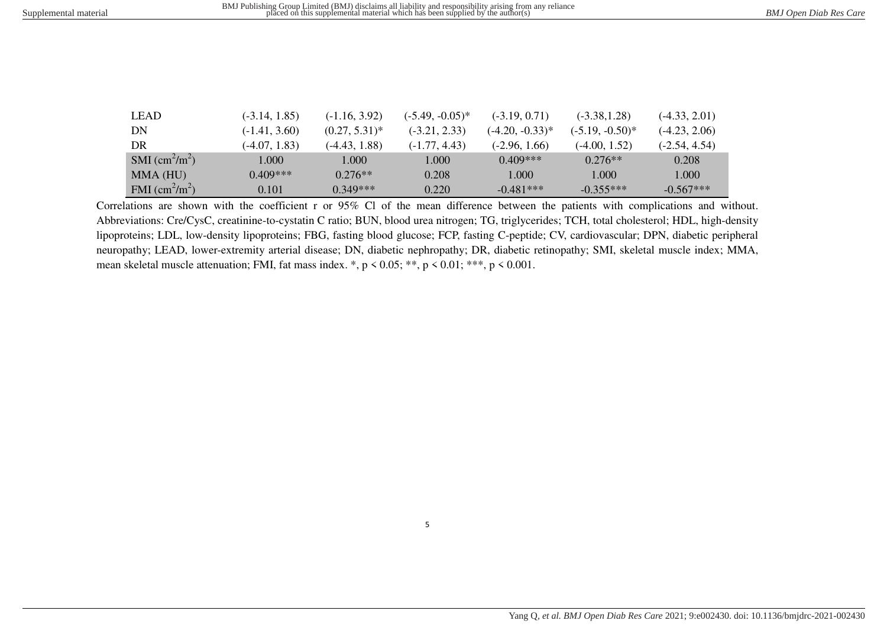| LEAD                           | $(-3.14, 1.85)$ | $(-1.16, 3.92)$  | $(-5.49, -0.05)^*$ | $(-3.19, 0.71)$   | $(-3.38, 1.28)$    | $(-4.33, 2.01)$ |
|--------------------------------|-----------------|------------------|--------------------|-------------------|--------------------|-----------------|
| DN                             | $(-1.41, 3.60)$ | $(0.27, 5.31)^*$ | $(-3.21, 2.33)$    | $(-4.20, -0.33)*$ | $(-5.19, -0.50)^*$ | $(-4.23, 2.06)$ |
| DR                             | $(-4.07, 1.83)$ | (-4.43, 1.88)    | $(-1.77, 4.43)$    | $(-2.96, 1.66)$   | $(-4.00, 1.52)$    | $(-2.54, 4.54)$ |
| SMI $\text{(cm}^2\text{/m}^2)$ | 1.000           | 1.000            | 1.000              | $0.409***$        | $0.276**$          | 0.208           |
| MMA (HU)                       | $0.409***$      | $0.276**$        | 0.208              | 1.000             | 1.000              | 1.000           |
| FMI $\text{cm}^2\text{/m}^2$ ) | 0.101           | $0.349***$       | 0.220              | $-0.481***$       | $-0.355***$        | $-0.567***$     |

Correlations are shown with the coefficient r or 95% Cl of the mean difference between the patients with complications and without. Abbreviations: Cre/CysC, creatinine-to-cystatin C ratio; BUN, blood urea nitrogen; TG, triglycerides; TCH, total cholesterol; HDL, high-density lipoproteins; LDL, low-density lipoproteins; FBG, fasting blood glucose; FCP, fasting C-peptide; CV, cardiovascular; DPN, diabetic peripheral neuropathy; LEAD, lower-extremity arterial disease; DN, diabetic nephropathy; DR, diabetic retinopathy; SMI, skeletal muscle index; MMA, mean skeletal muscle attenuation; FMI, fat mass index.  $*, p < 0.05; **$ ,  $p < 0.01; **$ ,  $p < 0.001$ .

5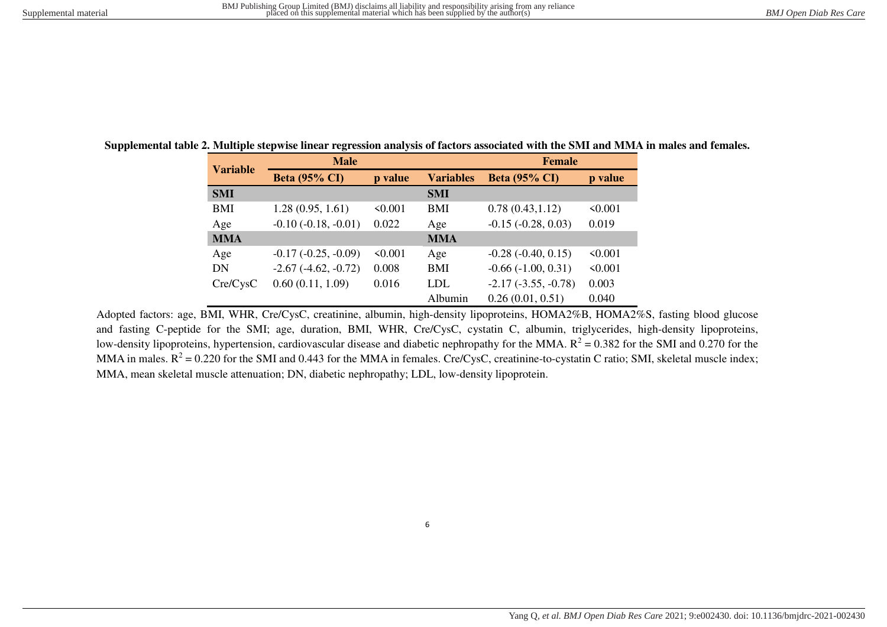|                 | <b>Male</b>           |              |                  | <b>Female</b>         |         |  |
|-----------------|-----------------------|--------------|------------------|-----------------------|---------|--|
| <b>Variable</b> | <b>Beta (95% CI)</b>  | p value      | <b>Variables</b> | <b>Beta (95% CI)</b>  | p value |  |
| <b>SMI</b>      |                       |              | <b>SMI</b>       |                       |         |  |
| BMI             | 1.28(0.95, 1.61)      | 50.001       | <b>BMI</b>       | 0.78(0.43, 1.12)      | 50.001  |  |
| Age             | $-0.10(-0.18, -0.01)$ | 0.022        | Age              | $-0.15(-0.28, 0.03)$  | 0.019   |  |
| <b>MMA</b>      |                       |              | <b>MMA</b>       |                       |         |  |
| Age             | $-0.17(-0.25, -0.09)$ | $\leq 0.001$ | Age              | $-0.28(-0.40, 0.15)$  | 50.001  |  |
| DN              | $-2.67(-4.62, -0.72)$ | 0.008        | BMI              | $-0.66(-1.00, 0.31)$  | 50.001  |  |
| Cre/CysC        | 0.60(0.11, 1.09)      | 0.016        | <b>LDL</b>       | $-2.17(-3.55, -0.78)$ | 0.003   |  |
|                 |                       |              | Albumin          | 0.26(0.01, 0.51)      | 0.040   |  |

**Supplemental table 2. Multiple stepwise linear regression analysis of factors associated with the SMI and MMA in males and females.** 

Adopted factors: age, BMI, WHR, Cre/CysC, creatinine, albumin, high-density lipoproteins, HOMA2%B, HOMA2%S, fasting blood glucose and fasting C-peptide for the SMI; age, duration, BMI, WHR, Cre/CysC, cystatin C, albumin, triglycerides, high-density lipoproteins, low-density lipoproteins, hypertension, cardiovascular disease and diabetic nephropathy for the MMA.  $R^2 = 0.382$  for the SMI and 0.270 for the MMA in males.  $R^2$  = 0.220 for the SMI and 0.443 for the MMA in females. Cre/CysC, creatinine-to-cystatin C ratio; SMI, skeletal muscle index; MMA, mean skeletal muscle attenuation; DN, diabetic nephropathy; LDL, low-density lipoprotein.